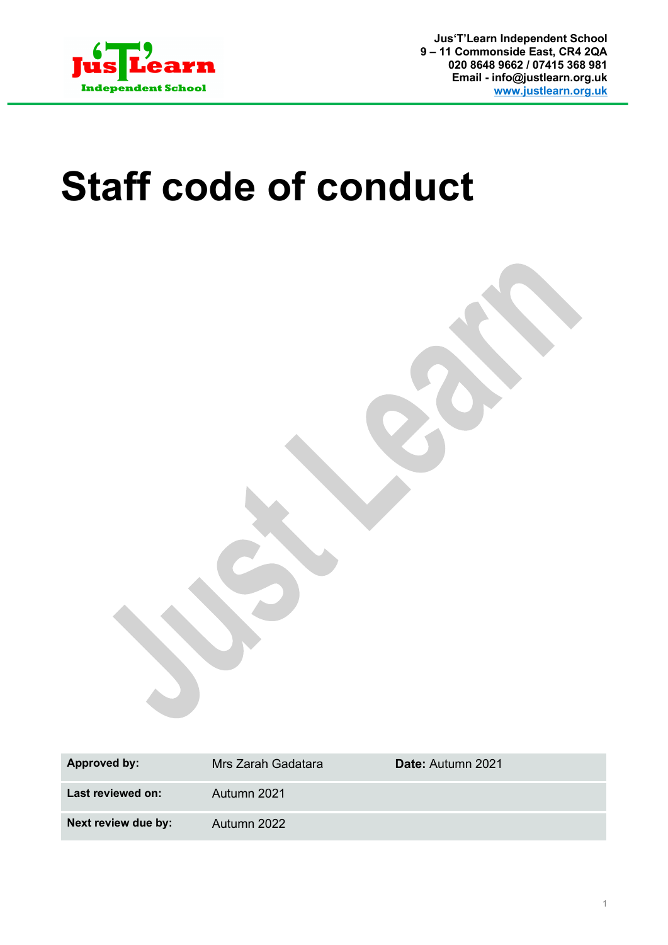

**Jus'T'Learn Independent School 9 – 11 Commonside East, CR4 2QA 020 8648 9662 / 07415 368 981 Email - info@justlearn.org.uk www.justlearn.org.uk**

# **Staff code of conduct**

| Approved by:        | Mrs Zarah Gadatara | <b>Date: Autumn 2021</b> |
|---------------------|--------------------|--------------------------|
| Last reviewed on:   | Autumn 2021        |                          |
| Next review due by: | Autumn 2022        |                          |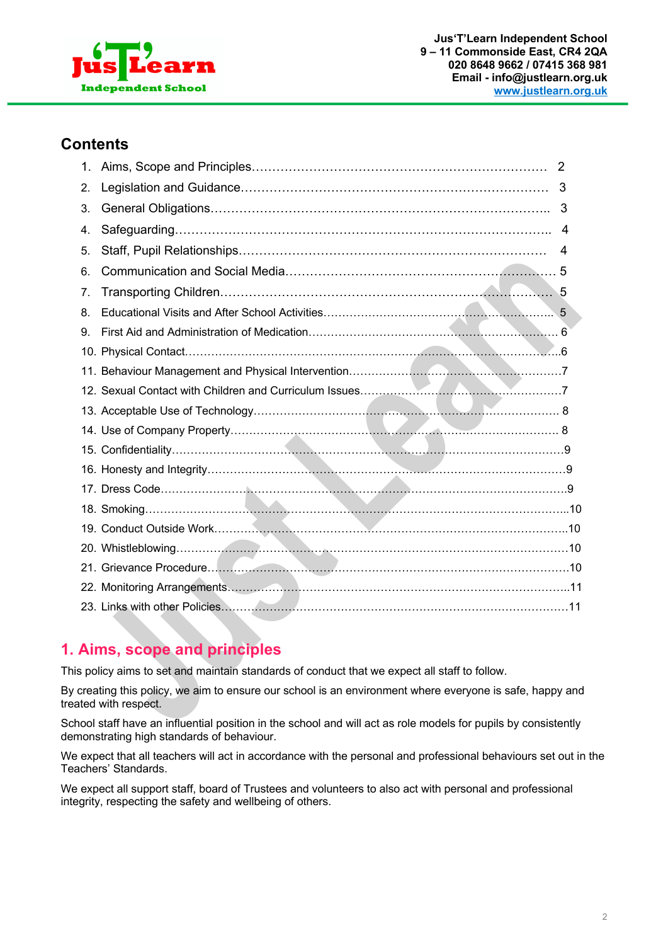

#### **Contents**

| 1. | $\overline{2}$ |
|----|----------------|
| 2. |                |
| 3. | -3             |
| 4. | 4              |
| 5. | 4              |
| 6. |                |
| 7. |                |
| 8. |                |
| 9. |                |
|    |                |
|    |                |
|    |                |
|    |                |
|    |                |
|    |                |
|    |                |
|    |                |
|    |                |
|    |                |
|    |                |
|    |                |
|    |                |
|    |                |

# **1. Aims, scope and principles**

This policy aims to set and maintain standards of conduct that we expect all staff to follow.

By creating this policy, we aim to ensure our school is an environment where everyone is safe, happy and treated with respect.

School staff have an influential position in the school and will act as role models for pupils by consistently demonstrating high standards of behaviour.

We expect that all teachers will act in accordance with the personal and professional behaviours set out in the Teachers' Standards.

We expect all support staff, board of Trustees and volunteers to also act with personal and professional integrity, respecting the safety and wellbeing of others.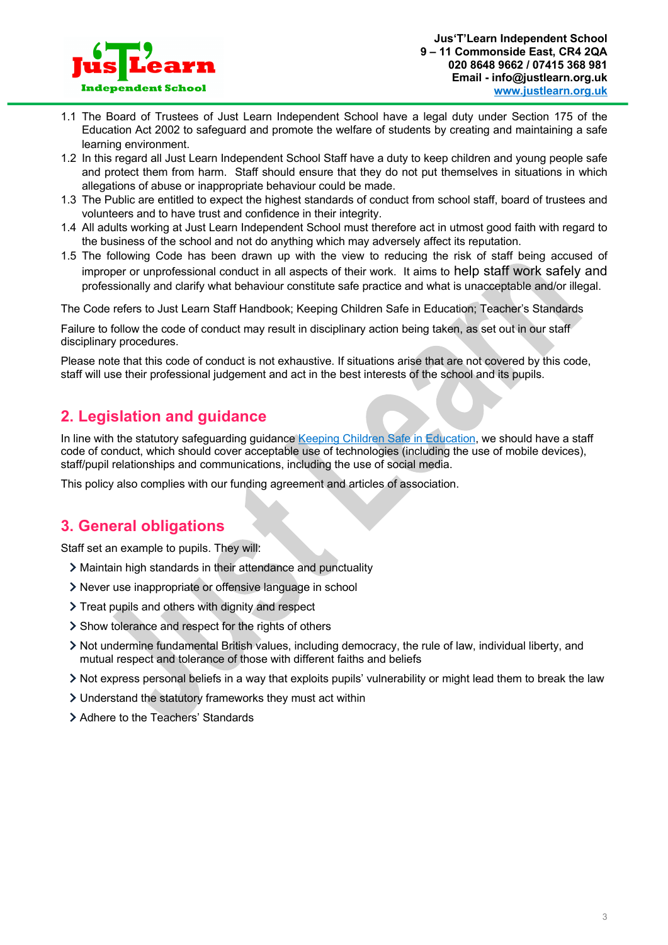

- 1.1 The Board of Trustees of Just Learn Independent School have a legal duty under Section 175 of the Education Act 2002 to safeguard and promote the welfare of students by creating and maintaining a safe learning environment.
- 1.2 In this regard all Just Learn Independent School Staff have a duty to keep children and young people safe and protect them from harm. Staff should ensure that they do not put themselves in situations in which allegations of abuse or inappropriate behaviour could be made.
- 1.3 The Public are entitled to expect the highest standards of conduct from school staff, board of trustees and volunteers and to have trust and confidence in their integrity.
- 1.4 All adults working at Just Learn Independent School must therefore act in utmost good faith with regard to the business of the school and not do anything which may adversely affect its reputation.
- 1.5 The following Code has been drawn up with the view to reducing the risk of staff being accused of improper or unprofessional conduct in all aspects of their work. It aims to help staff work safely and professionally and clarify what behaviour constitute safe practice and what is unacceptable and/or illegal.

The Code refers to Just Learn Staff Handbook; Keeping Children Safe in Education; Teacher's Standards

Failure to follow the code of conduct may result in disciplinary action being taken, as set out in our staff disciplinary procedures.

Please note that this code of conduct is not exhaustive. If situations arise that are not covered by this code, staff will use their professional judgement and act in the best interests of the school and its pupils.

# **2. Legislation and guidance**

In line with the statutory safeguarding guidance Keeping Children Safe in Education, we should have a staff code of conduct, which should cover acceptable use of technologies (including the use of mobile devices), staff/pupil relationships and communications, including the use of social media.

This policy also complies with our funding agreement and articles of association.

# **3. General obligations**

Staff set an example to pupils. They will:

- Maintain high standards in their attendance and punctuality
- Never use inappropriate or offensive language in school
- > Treat pupils and others with dignity and respect
- > Show tolerance and respect for the rights of others
- Not undermine fundamental British values, including democracy, the rule of law, individual liberty, and mutual respect and tolerance of those with different faiths and beliefs
- Not express personal beliefs in a way that exploits pupils' vulnerability or might lead them to break the law
- Understand the statutory frameworks they must act within
- > Adhere to the Teachers' Standards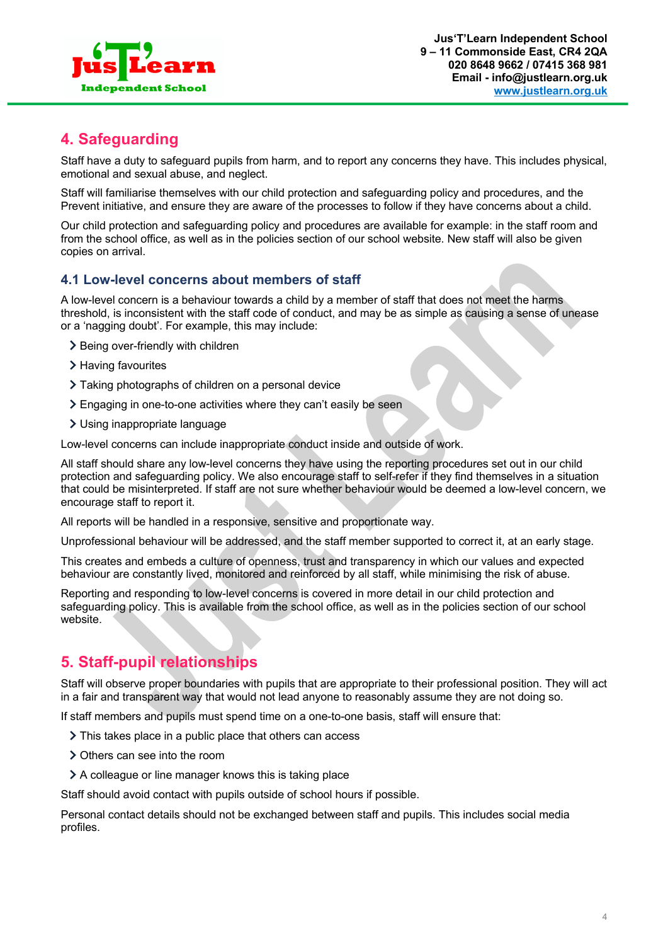

# **4. Safeguarding**

Staff have a duty to safeguard pupils from harm, and to report any concerns they have. This includes physical, emotional and sexual abuse, and neglect.

Staff will familiarise themselves with our child protection and safeguarding policy and procedures, and the Prevent initiative, and ensure they are aware of the processes to follow if they have concerns about a child.

Our child protection and safeguarding policy and procedures are available for example: in the staff room and from the school office, as well as in the policies section of our school website. New staff will also be given copies on arrival.

#### **4.1 Low-level concerns about members of staff**

A low-level concern is a behaviour towards a child by a member of staff that does not meet the harms threshold, is inconsistent with the staff code of conduct, and may be as simple as causing a sense of unease or a 'nagging doubt'. For example, this may include:

- > Being over-friendly with children
- > Having favourites
- Taking photographs of children on a personal device
- Engaging in one-to-one activities where they can't easily be seen
- Using inappropriate language

Low-level concerns can include inappropriate conduct inside and outside of work.

All staff should share any low-level concerns they have using the reporting procedures set out in our child protection and safeguarding policy. We also encourage staff to self-refer if they find themselves in a situation that could be misinterpreted. If staff are not sure whether behaviour would be deemed a low-level concern, we encourage staff to report it.

All reports will be handled in a responsive, sensitive and proportionate way.

Unprofessional behaviour will be addressed, and the staff member supported to correct it, at an early stage.

This creates and embeds a culture of openness, trust and transparency in which our values and expected behaviour are constantly lived, monitored and reinforced by all staff, while minimising the risk of abuse.

Reporting and responding to low-level concerns is covered in more detail in our child protection and safeguarding policy. This is available from the school office, as well as in the policies section of our school website.

#### **5. Staff-pupil relationships**

Staff will observe proper boundaries with pupils that are appropriate to their professional position. They will act in a fair and transparent way that would not lead anyone to reasonably assume they are not doing so.

If staff members and pupils must spend time on a one-to-one basis, staff will ensure that:

- > This takes place in a public place that others can access
- > Others can see into the room
- A colleague or line manager knows this is taking place

Staff should avoid contact with pupils outside of school hours if possible.

Personal contact details should not be exchanged between staff and pupils. This includes social media profiles.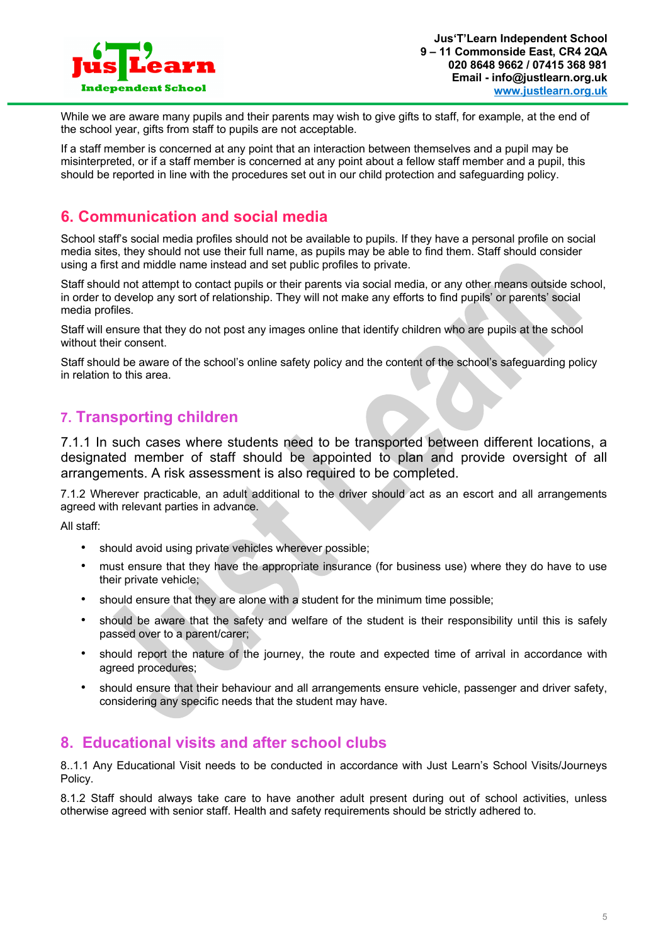

While we are aware many pupils and their parents may wish to give gifts to staff, for example, at the end of the school year, gifts from staff to pupils are not acceptable.

If a staff member is concerned at any point that an interaction between themselves and a pupil may be misinterpreted, or if a staff member is concerned at any point about a fellow staff member and a pupil, this should be reported in line with the procedures set out in our child protection and safeguarding policy.

### **6. Communication and social media**

School staff's social media profiles should not be available to pupils. If they have a personal profile on social media sites, they should not use their full name, as pupils may be able to find them. Staff should consider using a first and middle name instead and set public profiles to private.

Staff should not attempt to contact pupils or their parents via social media, or any other means outside school, in order to develop any sort of relationship. They will not make any efforts to find pupils' or parents' social media profiles.

Staff will ensure that they do not post any images online that identify children who are pupils at the school without their consent.

Staff should be aware of the school's online safety policy and the content of the school's safeguarding policy in relation to this area.

#### **7. Transporting children**

7.1.1 In such cases where students need to be transported between different locations, a designated member of staff should be appointed to plan and provide oversight of all arrangements. A risk assessment is also required to be completed.

7.1.2 Wherever practicable, an adult additional to the driver should act as an escort and all arrangements agreed with relevant parties in advance.

All staff:

- should avoid using private vehicles wherever possible;
- must ensure that they have the appropriate insurance (for business use) where they do have to use their private vehicle;
- should ensure that they are alone with a student for the minimum time possible;
- should be aware that the safety and welfare of the student is their responsibility until this is safely passed over to a parent/carer;
- should report the nature of the journey, the route and expected time of arrival in accordance with agreed procedures;
- should ensure that their behaviour and all arrangements ensure vehicle, passenger and driver safety, considering any specific needs that the student may have.

#### **8. Educational visits and after school clubs**

8..1.1 Any Educational Visit needs to be conducted in accordance with Just Learn's School Visits/Journeys Policy.

8.1.2 Staff should always take care to have another adult present during out of school activities, unless otherwise agreed with senior staff. Health and safety requirements should be strictly adhered to.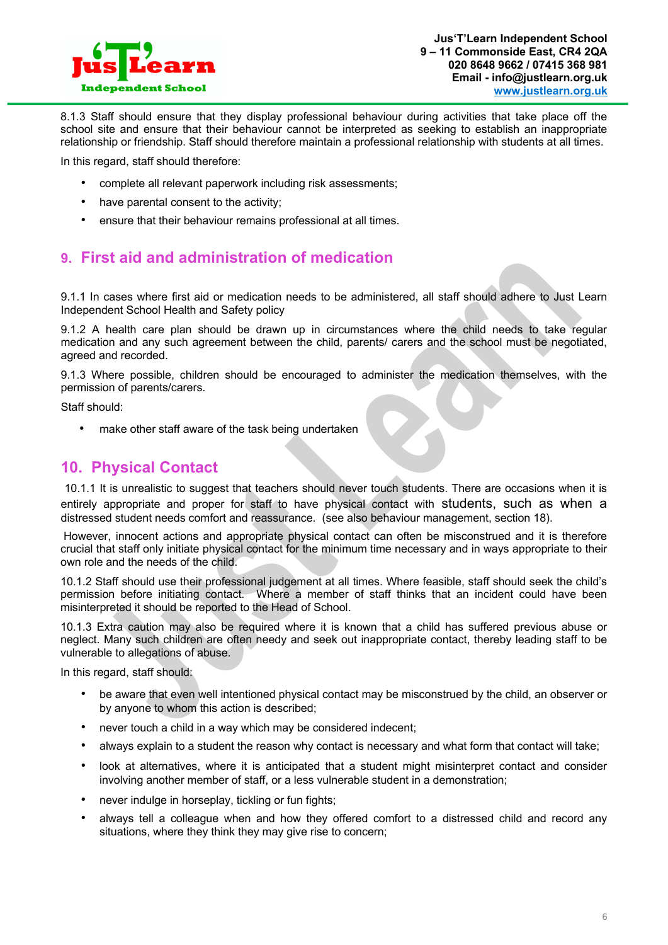

8.1.3 Staff should ensure that they display professional behaviour during activities that take place off the school site and ensure that their behaviour cannot be interpreted as seeking to establish an inappropriate relationship or friendship. Staff should therefore maintain a professional relationship with students at all times.

In this regard, staff should therefore:

- complete all relevant paperwork including risk assessments;
- have parental consent to the activity;
- ensure that their behaviour remains professional at all times.

#### **9. First aid and administration of medication**

9.1.1 In cases where first aid or medication needs to be administered, all staff should adhere to Just Learn Independent School Health and Safety policy

9.1.2 A health care plan should be drawn up in circumstances where the child needs to take regular medication and any such agreement between the child, parents/ carers and the school must be negotiated, agreed and recorded.

9.1.3 Where possible, children should be encouraged to administer the medication themselves, with the permission of parents/carers.

Staff should:

make other staff aware of the task being undertaken

#### **10. Physical Contact**

10.1.1 It is unrealistic to suggest that teachers should never touch students. There are occasions when it is entirely appropriate and proper for staff to have physical contact with students, such as when a distressed student needs comfort and reassurance. (see also behaviour management, section 18).

However, innocent actions and appropriate physical contact can often be misconstrued and it is therefore crucial that staff only initiate physical contact for the minimum time necessary and in ways appropriate to their own role and the needs of the child.

10.1.2 Staff should use their professional judgement at all times. Where feasible, staff should seek the child's permission before initiating contact. Where a member of staff thinks that an incident could have been misinterpreted it should be reported to the Head of School.

10.1.3 Extra caution may also be required where it is known that a child has suffered previous abuse or neglect. Many such children are often needy and seek out inappropriate contact, thereby leading staff to be vulnerable to allegations of abuse.

In this regard, staff should:

- be aware that even well intentioned physical contact may be misconstrued by the child, an observer or by anyone to whom this action is described;
- never touch a child in a way which may be considered indecent;
- always explain to a student the reason why contact is necessary and what form that contact will take;
- look at alternatives, where it is anticipated that a student might misinterpret contact and consider involving another member of staff, or a less vulnerable student in a demonstration;
- never indulge in horseplay, tickling or fun fights;
- always tell a colleague when and how they offered comfort to a distressed child and record any situations, where they think they may give rise to concern;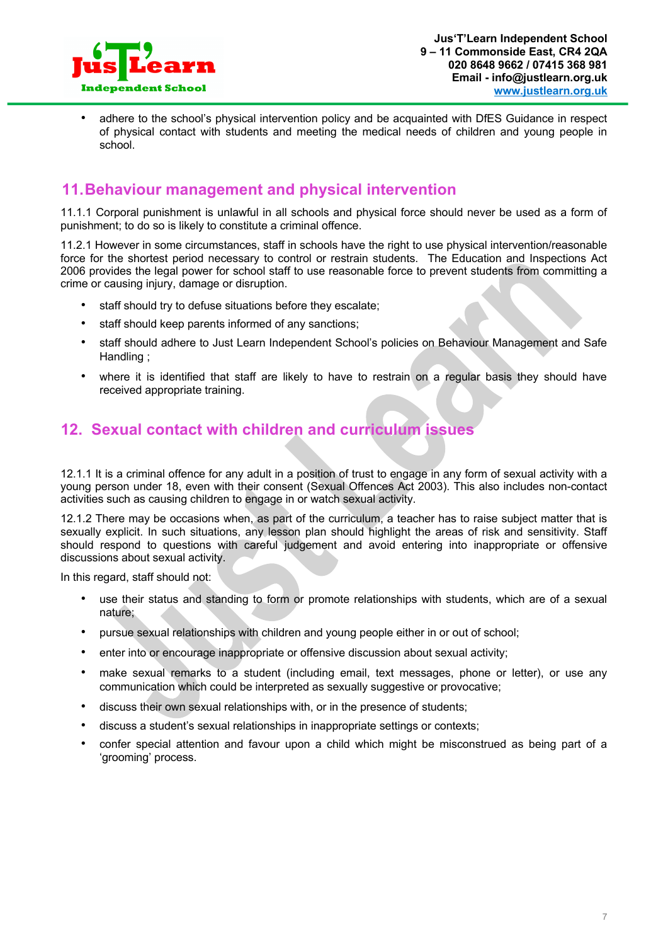

• adhere to the school's physical intervention policy and be acquainted with DfES Guidance in respect of physical contact with students and meeting the medical needs of children and young people in school.

#### **11.Behaviour management and physical intervention**

11.1.1 Corporal punishment is unlawful in all schools and physical force should never be used as a form of punishment; to do so is likely to constitute a criminal offence.

11.2.1 However in some circumstances, staff in schools have the right to use physical intervention/reasonable force for the shortest period necessary to control or restrain students. The Education and Inspections Act 2006 provides the legal power for school staff to use reasonable force to prevent students from committing a crime or causing injury, damage or disruption.

- staff should try to defuse situations before they escalate;
- staff should keep parents informed of any sanctions;
- staff should adhere to Just Learn Independent School's policies on Behaviour Management and Safe Handling ;
- where it is identified that staff are likely to have to restrain on a regular basis they should have received appropriate training.

#### **12. Sexual contact with children and curriculum issues**

12.1.1 It is a criminal offence for any adult in a position of trust to engage in any form of sexual activity with a young person under 18, even with their consent (Sexual Offences Act 2003). This also includes non-contact activities such as causing children to engage in or watch sexual activity.

12.1.2 There may be occasions when, as part of the curriculum, a teacher has to raise subject matter that is sexually explicit. In such situations, any lesson plan should highlight the areas of risk and sensitivity. Staff should respond to questions with careful judgement and avoid entering into inappropriate or offensive discussions about sexual activity.

In this regard, staff should not:

- use their status and standing to form or promote relationships with students, which are of a sexual nature;
- pursue sexual relationships with children and young people either in or out of school;
- enter into or encourage inappropriate or offensive discussion about sexual activity;
- make sexual remarks to a student (including email, text messages, phone or letter), or use any communication which could be interpreted as sexually suggestive or provocative;
- discuss their own sexual relationships with, or in the presence of students;
- discuss a student's sexual relationships in inappropriate settings or contexts;
- confer special attention and favour upon a child which might be misconstrued as being part of a 'grooming' process.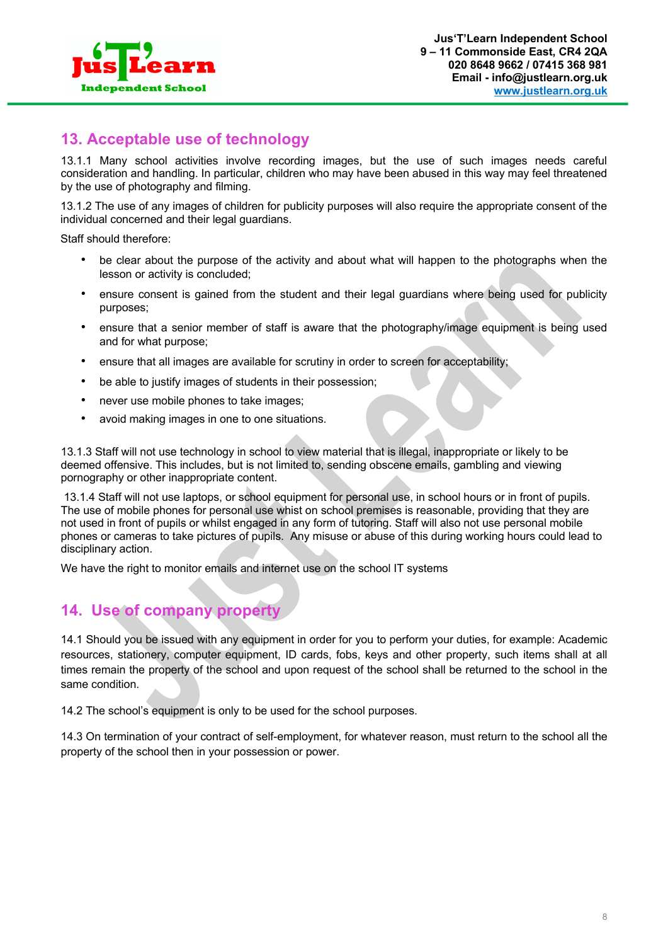

### **13. Acceptable use of technology**

13.1.1 Many school activities involve recording images, but the use of such images needs careful consideration and handling. In particular, children who may have been abused in this way may feel threatened by the use of photography and filming.

13.1.2 The use of any images of children for publicity purposes will also require the appropriate consent of the individual concerned and their legal guardians.

Staff should therefore:

- be clear about the purpose of the activity and about what will happen to the photographs when the lesson or activity is concluded;
- ensure consent is gained from the student and their legal guardians where being used for publicity purposes;
- ensure that a senior member of staff is aware that the photography/image equipment is being used and for what purpose;
- ensure that all images are available for scrutiny in order to screen for acceptability;
- be able to justify images of students in their possession;
- never use mobile phones to take images;
- avoid making images in one to one situations.

13.1.3 Staff will not use technology in school to view material that is illegal, inappropriate or likely to be deemed offensive. This includes, but is not limited to, sending obscene emails, gambling and viewing pornography or other inappropriate content.

13.1.4 Staff will not use laptops, or school equipment for personal use, in school hours or in front of pupils. The use of mobile phones for personal use whist on school premises is reasonable, providing that they are not used in front of pupils or whilst engaged in any form of tutoring. Staff will also not use personal mobile phones or cameras to take pictures of pupils. Any misuse or abuse of this during working hours could lead to disciplinary action.

We have the right to monitor emails and internet use on the school IT systems

#### **14. Use of company property**

14.1 Should you be issued with any equipment in order for you to perform your duties, for example: Academic resources, stationery, computer equipment, ID cards, fobs, keys and other property, such items shall at all times remain the property of the school and upon request of the school shall be returned to the school in the same condition.

14.2 The school's equipment is only to be used for the school purposes.

14.3 On termination of your contract of self-employment, for whatever reason, must return to the school all the property of the school then in your possession or power.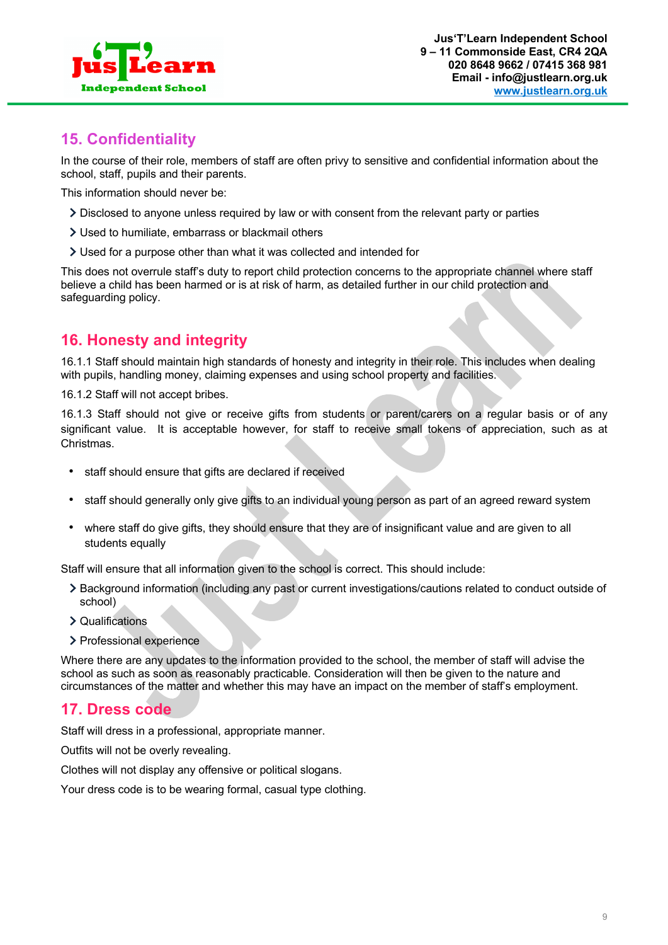

# **15. Confidentiality**

In the course of their role, members of staff are often privy to sensitive and confidential information about the school, staff, pupils and their parents.

This information should never be:

- Disclosed to anyone unless required by law or with consent from the relevant party or parties
- Used to humiliate, embarrass or blackmail others
- Used for a purpose other than what it was collected and intended for

This does not overrule staff's duty to report child protection concerns to the appropriate channel where staff believe a child has been harmed or is at risk of harm, as detailed further in our child protection and safeguarding policy.

# **16. Honesty and integrity**

16.1.1 Staff should maintain high standards of honesty and integrity in their role. This includes when dealing with pupils, handling money, claiming expenses and using school property and facilities.

16.1.2 Staff will not accept bribes.

16.1.3 Staff should not give or receive gifts from students or parent/carers on a regular basis or of any significant value. It is acceptable however, for staff to receive small tokens of appreciation, such as at Christmas.

- staff should ensure that gifts are declared if received
- staff should generally only give gifts to an individual young person as part of an agreed reward system
- where staff do give gifts, they should ensure that they are of insignificant value and are given to all students equally

Staff will ensure that all information given to the school is correct. This should include:

- Background information (including any past or current investigations/cautions related to conduct outside of school)
- Qualifications
- > Professional experience

Where there are any updates to the information provided to the school, the member of staff will advise the school as such as soon as reasonably practicable. Consideration will then be given to the nature and circumstances of the matter and whether this may have an impact on the member of staff's employment.

# **17. Dress code**

Staff will dress in a professional, appropriate manner.

Outfits will not be overly revealing.

Clothes will not display any offensive or political slogans.

Your dress code is to be wearing formal, casual type clothing.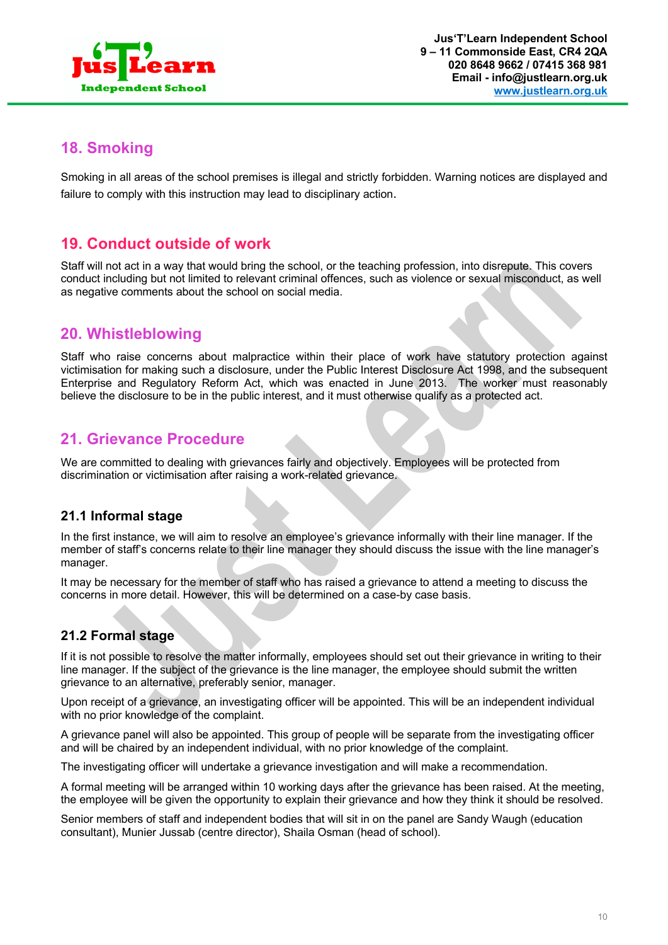

#### **18. Smoking**

Smoking in all areas of the school premises is illegal and strictly forbidden. Warning notices are displayed and failure to comply with this instruction may lead to disciplinary action.

#### **19. Conduct outside of work**

Staff will not act in a way that would bring the school, or the teaching profession, into disrepute. This covers conduct including but not limited to relevant criminal offences, such as violence or sexual misconduct, as well as negative comments about the school on social media.

# **20. Whistleblowing**

Staff who raise concerns about malpractice within their place of work have statutory protection against victimisation for making such a disclosure, under the Public Interest Disclosure Act 1998, and the subsequent Enterprise and Regulatory Reform Act, which was enacted in June 2013. The worker must reasonably believe the disclosure to be in the public interest, and it must otherwise qualify as a protected act.

#### **21. Grievance Procedure**

We are committed to dealing with grievances fairly and objectively. Employees will be protected from discrimination or victimisation after raising a work-related grievance.

#### **21.1 Informal stage**

In the first instance, we will aim to resolve an employee's grievance informally with their line manager. If the member of staff's concerns relate to their line manager they should discuss the issue with the line manager's manager.

It may be necessary for the member of staff who has raised a grievance to attend a meeting to discuss the concerns in more detail. However, this will be determined on a case-by case basis.

#### **21.2 Formal stage**

If it is not possible to resolve the matter informally, employees should set out their grievance in writing to their line manager. If the subject of the grievance is the line manager, the employee should submit the written grievance to an alternative, preferably senior, manager.

Upon receipt of a grievance, an investigating officer will be appointed. This will be an independent individual with no prior knowledge of the complaint.

A grievance panel will also be appointed. This group of people will be separate from the investigating officer and will be chaired by an independent individual, with no prior knowledge of the complaint.

The investigating officer will undertake a grievance investigation and will make a recommendation.

A formal meeting will be arranged within 10 working days after the grievance has been raised. At the meeting, the employee will be given the opportunity to explain their grievance and how they think it should be resolved.

Senior members of staff and independent bodies that will sit in on the panel are Sandy Waugh (education consultant), Munier Jussab (centre director), Shaila Osman (head of school).